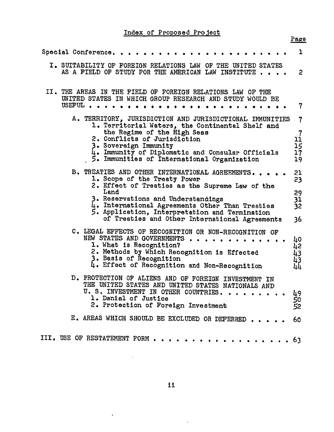## Index of Proposed Project

|                                                                                                                                                                                                                                                                                                                                         | Page                                                               |
|-----------------------------------------------------------------------------------------------------------------------------------------------------------------------------------------------------------------------------------------------------------------------------------------------------------------------------------------|--------------------------------------------------------------------|
| Special Conference.                                                                                                                                                                                                                                                                                                                     | 1                                                                  |
| I. SUITABILITY OF FOREIGN RELATIONS LAW OF THE UNITED STATES<br>AS A FIELD OF STUDY FOR THE AMERICAN LAW INSTITUTE                                                                                                                                                                                                                      | $\mathbf{2}$                                                       |
| II. THE AREAS IN THE FIELD OF FOREIGN RELATIONS LAW OF THE<br>UNITED STATES IN WHICH GROUP RESEARCH AND STUDY WOULD BE<br>USEFUL.                                                                                                                                                                                                       | 7                                                                  |
| A. TERRITORY, JURISDICTION AND JURISDICTIONAL IMMUNITIES<br>1. Territorial Waters, the Continental Shelf and<br>the Regime of the High Seas<br>2. Conflicts of Jurisdiction<br>3. Sovereign Immunity<br>4. Immunity of Diplomatic and Consular Officials<br>5. Immunities of International Organization                                 | $\overline{\mathbf{r}}$<br>$\frac{7}{11}$<br>$\frac{15}{17}$<br>19 |
| B. TREATIES AND OTHER INTERNATIONAL AGREEMENTS.<br>1. Scope of the Treaty Power<br>2. Effect of Treaties as the Supreme Law of the<br>Land<br>3. Reservations and Understandings<br>4. International Agreements Other Than Treaties<br>5. Application, Interpretation and Termination<br>of Treaties and Other International Agreements | 21<br>23<br>29<br>31<br>32<br>36                                   |
| C. LEGAL EFFECTS OF RECOGNITION OR NON-RECOGNITION OF<br>NEW STATES AND GOVERNMENTS.<br>1. What is Recognition?<br>2. Methods by Which Recognition is Effected<br>3. Basis of Recognition<br>4. Effect of Recognition and Non-Recognition                                                                                               | 40<br>4234444                                                      |
| PROTECTION OF ALIENS AND OF FOREIGN INVESTMENT IN<br>D.<br>THE UNITED STATES AND UNITED STATES NATIONALS AND<br>U. S. INVESTMENT IN OTHER COUNTRIES.<br>1. Denial of Justice<br>2. Protection of Foreign Investment                                                                                                                     | 49<br>50<br>52                                                     |
| E. AREAS WHICH SHOULD BE EXCLUDED OR DEFERRED.                                                                                                                                                                                                                                                                                          | 60                                                                 |
| III. USE OF RESTATEMENT FORM<br>. <b>63</b>                                                                                                                                                                                                                                                                                             |                                                                    |

 $\sim 10^{-10}$ 

 $\bar{z}$ 

 $\epsilon$